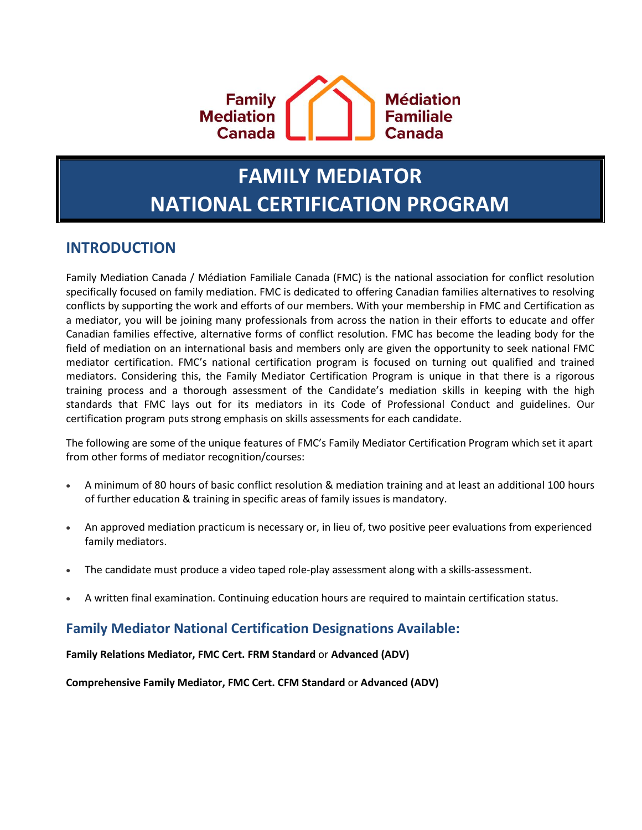

# **FAMILY MEDIATOR NATIONAL CERTIFICATION PROGRAM**

## **INTRODUCTION**

Family Mediation Canada / Médiation Familiale Canada (FMC) is the national association for conflict resolution specifically focused on family mediation. FMC is dedicated to offering Canadian families alternatives to resolving conflicts by supporting the work and efforts of our members. With your membership in FMC and Certification as a mediator, you will be joining many professionals from across the nation in their efforts to educate and offer Canadian families effective, alternative forms of conflict resolution. FMC has become the leading body for the field of mediation on an international basis and members only are given the opportunity to seek national FMC mediator certification. FMC's national certification program is focused on turning out qualified and trained mediators. Considering this, the Family Mediator Certification Program is unique in that there is a rigorous training process and a thorough assessment of the Candidate's mediation skills in keeping with the high standards that FMC lays out for its mediators in its Code of Professional Conduct and guidelines. Our certification program puts strong emphasis on skills assessments for each candidate.

The following are some of the unique features of FMC's Family Mediator Certification Program which set it apart from other forms of mediator recognition/courses:

- A minimum of 80 hours of basic conflict resolution & mediation training and at least an additional 100 hours of further education & training in specific areas of family issues is mandatory.
- An approved mediation practicum is necessary or, in lieu of, two positive peer evaluations from experienced family mediators.
- The candidate must produce a video taped role-play assessment along with a skills-assessment.
- A written final examination. Continuing education hours are required to maintain certification status.

## **Family Mediator National Certification Designations Available:**

**Family Relations Mediator, FMC Cert. FRM Standard** or **Advanced (ADV)**

**Comprehensive Family Mediator, FMC Cert. CFM Standard** o**r Advanced (ADV)**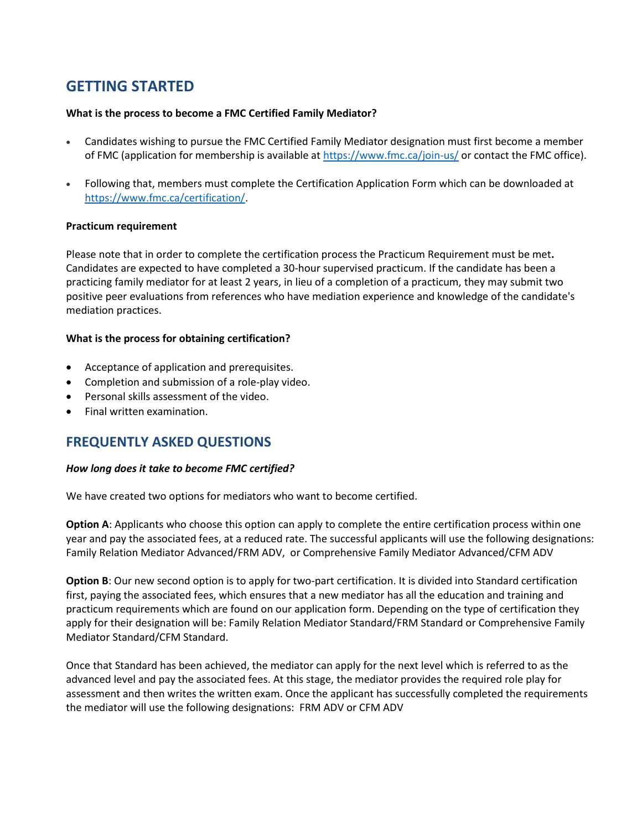# **GETTING STARTED**

#### **What is the process to become a FMC Certified Family Mediator?**

- Candidates wishing to pursue the FMC Certified Family Mediator designation must first become a member of FMC (application for membership is available at <https://www.fmc.ca/join-us/> or contact the FMC office).
- Following that, members must complete the Certification Application Form which can be downloaded at [https://www.fmc.ca/certification/.](https://www.fmc.ca/certification/)

#### **Practicum requirement**

Please note that in order to complete the certification process the Practicum Requirement must be met**.** Candidates are expected to have completed a 30-hour supervised practicum. If the candidate has been a practicing family mediator for at least 2 years, in lieu of a completion of a practicum, they may submit two positive peer evaluations from references who have mediation experience and knowledge of the candidate's mediation practices.

#### **What is the process for obtaining certification?**

- Acceptance of application and prerequisites.
- Completion and submission of a role-play video.
- Personal skills assessment of the video.
- Final written examination.

## **FREQUENTLY ASKED QUESTIONS**

#### *How long does it take to become FMC certified?*

We have created two options for mediators who want to become certified.

**Option A**: Applicants who choose this option can apply to complete the entire certification process within one year and pay the associated fees, at a reduced rate. The successful applicants will use the following designations: Family Relation Mediator Advanced/FRM ADV, or Comprehensive Family Mediator Advanced/CFM ADV

**Option B**: Our new second option is to apply for two-part certification. It is divided into Standard certification first, paying the associated fees, which ensures that a new mediator has all the education and training and practicum requirements which are found on our application form. Depending on the type of certification they apply for their designation will be: Family Relation Mediator Standard/FRM Standard or Comprehensive Family Mediator Standard/CFM Standard.

Once that Standard has been achieved, the mediator can apply for the next level which is referred to as the advanced level and pay the associated fees. At this stage, the mediator provides the required role play for assessment and then writes the written exam. Once the applicant has successfully completed the requirements the mediator will use the following designations: FRM ADV or CFM ADV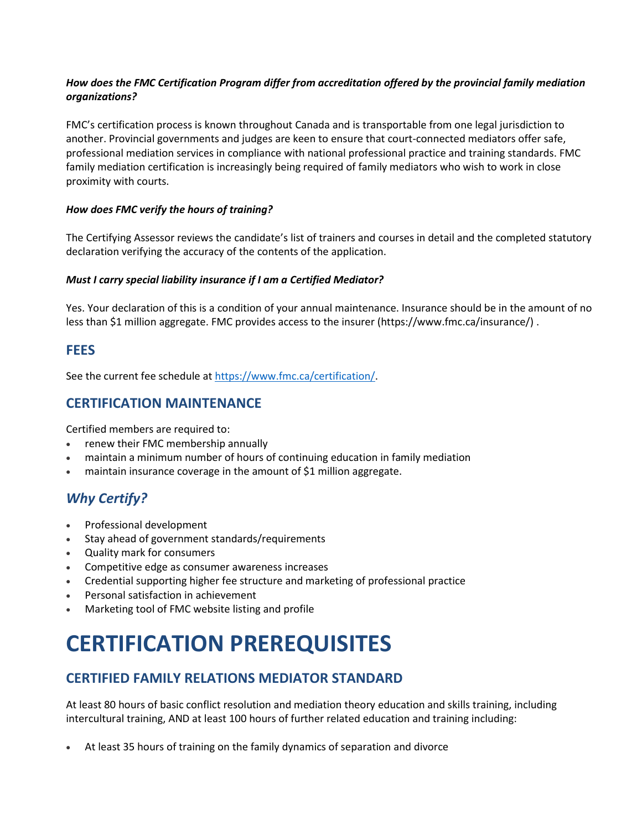#### *How does the FMC Certification Program differ from accreditation offered by the provincial family mediation organizations?*

FMC's certification process is known throughout Canada and is transportable from one legal jurisdiction to another. Provincial governments and judges are keen to ensure that court-connected mediators offer safe, professional mediation services in compliance with national professional practice and training standards. FMC family mediation certification is increasingly being required of family mediators who wish to work in close proximity with courts.

#### *How does FMC verify the hours of training?*

The Certifying Assessor reviews the candidate's list of trainers and courses in detail and the completed statutory declaration verifying the accuracy of the contents of the application.

#### *Must I carry special liability insurance if I am a Certified Mediator?*

Yes. Your declaration of this is a condition of your annual maintenance. Insurance should be in the amount of no less than \$1 million aggregate. FMC provides access to the insurer [\(https://www.fmc.ca/insurance/\)](https://www.fmc.ca/insurance/) .

## **FEES**

See the current fee schedule at [https://www.fmc.ca/certification/.](https://www.fmc.ca/certification/)

## **CERTIFICATION MAINTENANCE**

Certified members are required to:

- renew their FMC membership annually
- maintain a minimum number of hours of continuing education in family mediation
- maintain insurance coverage in the amount of \$1 million aggregate.

## *Why Certify?*

- Professional development
- Stay ahead of government standards/requirements
- Quality mark for consumers
- Competitive edge as consumer awareness increases
- Credential supporting higher fee structure and marketing of professional practice
- Personal satisfaction in achievement
- Marketing tool of FMC website listing and profile

# **CERTIFICATION PREREQUISITES**

## **CERTIFIED FAMILY RELATIONS MEDIATOR STANDARD**

At least 80 hours of basic conflict resolution and mediation theory education and skills training, including intercultural training, AND at least 100 hours of further related education and training including:

• At least 35 hours of training on the family dynamics of separation and divorce